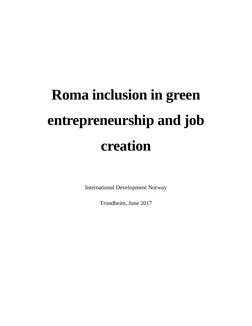# **Roma inclusion in green entrepreneurship and job creation**

International Development Norway

Trondheim, June 2017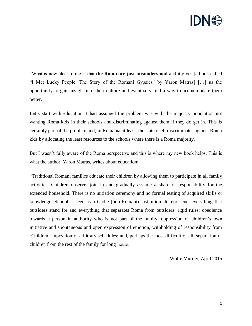

"What is now clear to me is that **the Roma are just misunderstood** and it gives [a book called "I Met Lucky People. The Story of the Romani Gypsies" by Yaron Matras] […] us the opportunity to gain insight into their culture and eventually find a way to accommodate them better.

Let's start with education. I had assumed the problem was with the majority population not wanting Roma kids in their schools and discriminating against them if they do get in. This is certainly part of the problem and, in Romania at least, the state itself discriminates against Roma kids by allocating the least resources to the schools where there is a Roma majority.

But I wasn't fully aware of the Roma perspective and this is where my new book helps. This is what the author, Yaron Matras, writes about education:

"Traditional Romani families educate their children by allowing them to participate in all family activities. Children observe, join in and gradually assume a share of responsibility for the extended household. There is no initiation ceremony and no formal testing of acquired skills or knowledge. School is seen as a Gadje (non-Romani) institution. It represents everything that outsiders stand for and everything that separates Roma from outsiders: rigid rules; obedience towards a person in authority who is not part of the family; oppression of children's own initiative and spontaneous and open expression of emotion; withholding of responsibility from c1hildren; imposition of arbitrary schedules; and, perhaps the most difficult of all, separation of children from the rest of the family for long hours."

Wolfe Murray, April 2015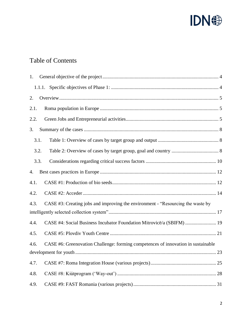

# Table of Contents

| 1.   |      |                                                                                   |
|------|------|-----------------------------------------------------------------------------------|
|      |      |                                                                                   |
| 2.   |      |                                                                                   |
| 2.1. |      |                                                                                   |
| 2.2. |      |                                                                                   |
| 3.   |      |                                                                                   |
|      | 3.1. |                                                                                   |
|      | 3.2. |                                                                                   |
|      | 3.3. |                                                                                   |
| 4.   |      |                                                                                   |
| 4.1. |      |                                                                                   |
| 4.2. |      |                                                                                   |
| 4.3. |      | CASE #3: Creating jobs and improving the environment - "Resourcing the waste by   |
|      |      |                                                                                   |
| 4.4. |      | CASE #4: Social Business Incubator Foundation Mitrovicë/a (SBIFM)  19             |
| 4.5. |      |                                                                                   |
| 4.6. |      | CASE #6: Greenovation Challenge: forming competences of innovation in sustainable |
|      |      |                                                                                   |
| 4.7. |      |                                                                                   |
| 4.8. |      |                                                                                   |
| 4.9. |      |                                                                                   |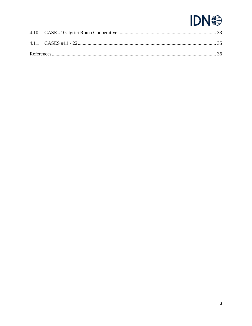# **IDN <sup><sup>2</sup></sup>**

<span id="page-3-0"></span>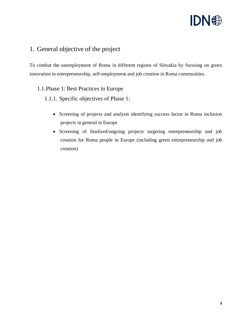

### 1. General objective of the project

To combat the unemployment of Roma in different regions of Slovakia by focusing on green innovation in entrepreneurship, self-employment and job creation in Roma communities.

#### <span id="page-4-0"></span>1.1.Phase 1: Best Practices in Europe

- <span id="page-4-1"></span>1.1.1. Specific objectives of Phase 1:
	- Screening of projects and analysis identifying success factor in Roma inclusion projects in general in Europe
	- Screening of finalized/ongoing projects targeting entrepreneurship and job creation for Roma people in Europe (including green entrepreneurship and job creation)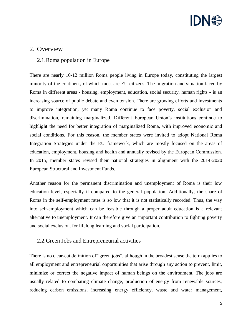

#### 2. Overview

#### <span id="page-5-0"></span>2.1.Roma population in Europe

There are nearly 10-12 million Roma people living in Europe today, constituting the largest minority of the continent, of which most are EU citizens. The migration and situation faced by Roma in different areas - housing, employment, education, social security, human rights - is an increasing source of public debate and even tension. There are growing efforts and investments to improve integration, yet many Roma continue to face poverty, social exclusion and discrimination, remaining marginalized. Different European Union's institutions continue to highlight the need for better integration of marginalized Roma, with improved economic and social conditions. For this reason, the member states were invited to adopt National Roma Integration Strategies under the EU framework, which are mostly focused on the areas of education, employment, housing and health and annually revised by the European Commission. In 2015, member states revised their national strategies in alignment with the 2014-2020 European Structural and Investment Funds.

Another reason for the permanent discrimination and unemployment of Roma is their low education level, especially if compared to the general population. Additionally, the share of Roma in the self-employment rates is so low that it is not statistically recorded. Thus, the way into self-employment which can be feasible through a proper adult education is a relevant alternative to unemployment. It can therefore give an important contribution to fighting poverty and social exclusion, for lifelong learning and social participation.

#### <span id="page-5-1"></span>2.2.Green Jobs and Entrepreneurial activities

There is no clear-cut definition of "green jobs", although in the broadest sense the term applies to all employment and entrepreneurial opportunities that arise through any action to prevent, limit, minimize or correct the negative impact of human beings on the environment. The jobs are usually related to combating climate change, production of energy from renewable sources, reducing carbon emissions, increasing energy efficiency, waste and water management,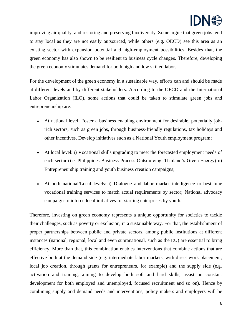

improving air quality, and restoring and preserving biodiversity. Some argue that green jobs tend to stay local as they are not easily outsourced, while others (e.g. OECD) see this area as an existing sector with expansion potential and high-employment possibilities. Besides that, the green economy has also shown to be resilient to business cycle changes. Therefore, developing the green economy stimulates demand for both high and low skilled labor.

For the development of the green economy in a sustainable way, efforts can and should be made at different levels and by different stakeholders. According to the OECD and the International Labor Organization (ILO), some actions that could be taken to stimulate green jobs and entrepreneurship are:

- At national level: Foster a business enabling environment for desirable, potentially jobrich sectors, such as green jobs, through business-friendly regulations, tax holidays and other incentives. Develop initiatives such as a National Youth employment program;
- At local level: i) Vocational skills upgrading to meet the forecasted employment needs of each sector (i.e. Philippines Business Process Outsourcing, Thailand's Green Energy) ii) Entrepreneurship training and youth business creation campaigns;
- At both national/Local levels: i) Dialogue and labor market intelligence to best tune vocational training services to match actual requirements by sector; National advocacy campaigns reinforce local initiatives for starting enterprises by youth.

Therefore, investing on green economy represents a unique opportunity for societies to tackle their challenges, such as poverty or exclusion, in a sustainable way. For that, the establishment of proper partnerships between public and private sectors, among public institutions at different instances (national, regional, local and even supranational, such as the EU) are essential to bring efficiency. More than that, this combination enables interventions that combine actions that are effective both at the demand side (e.g. intermediate labor markets, with direct work placement; local job creation, through grants for entrepreneurs, for example) and the supply side (e.g. activation and training, aiming to develop both soft and hard skills, assist on constant development for both employed and unemployed, focused recruitment and so on). Hence by combining supply and demand needs and interventions, policy makers and employers will be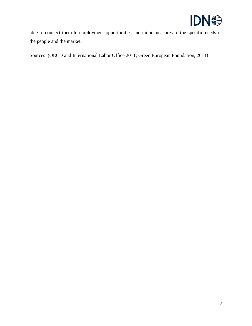

able to connect them to employment opportunities and tailor measures to the specific needs of the people and the market.

Sources: (OECD and International Labor Office 2011; Green European Foundation, 2011)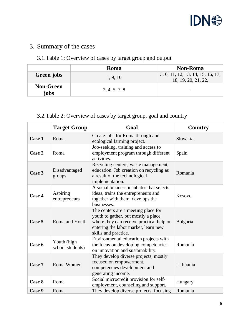

# <span id="page-8-0"></span>3. Summary of the cases

# <span id="page-8-1"></span>3.1.Table 1: Overview of cases by target group and output

|                          | <b>Roma</b>   | <b>Non-Roma</b>                                          |
|--------------------------|---------------|----------------------------------------------------------|
| Green jobs               | 1, 9, 10      | 3, 6, 11, 12, 13, 14, 15, 16, 17,<br>18, 19, 20, 21, 22, |
| <b>Non-Green</b><br>jobs | 2, 4, 5, 7, 8 |                                                          |

## <span id="page-8-2"></span>3.2.Table 2: Overview of cases by target group, goal and country

|        | <b>Target Group</b>             | Goal                                                                                                                                                                                   | <b>Country</b> |
|--------|---------------------------------|----------------------------------------------------------------------------------------------------------------------------------------------------------------------------------------|----------------|
| Case 1 | Roma                            | Create jobs for Roma through and<br>ecological farming project.                                                                                                                        | Slovakia       |
| Case 2 | Roma                            | Job-seeking, training and access to<br>employment program through different<br>activities.                                                                                             | Spain          |
| Case 3 | Disadvantaged<br>groups         | Recycling centers, waste management,<br>education. Job creation on recycling as<br>a result of the technological<br>implementation.                                                    | Romania        |
| Case 4 | Aspiring<br>entrepreneurs       | A social business incubator that selects<br>ideas, trains the entrepreneurs and<br>together with them, develops the<br>businesses.                                                     | Kosovo         |
| Case 5 | Roma and Youth                  | The centers are a meeting place for<br>youth to gather, but mostly a place<br>where they can receive practical help on<br>entering the labor market, learn new<br>skills and practice. | Bulgaria       |
| Case 6 | Youth (high<br>school students) | Environmental education projects with<br>the focus on developing competencies<br>on innovation and sustainability.                                                                     | Romania        |
| Case 7 | Roma Women                      | They develop diverse projects, mostly<br>focused on empowerment,<br>competencies development and<br>generating income.                                                                 | Lithuania      |
| Case 8 | Roma                            | Social microcredit provision for self-<br>employment, counseling and support.                                                                                                          | Hungary        |
| Case 9 | Roma                            | They develop diverse projects, focusing                                                                                                                                                | Romania        |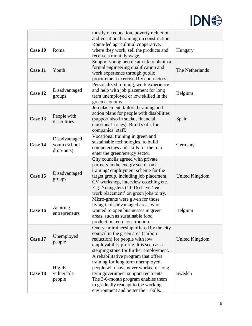

|         |                             | mostly on education, poverty reduction<br>and vocational training on construction. |                       |
|---------|-----------------------------|------------------------------------------------------------------------------------|-----------------------|
|         |                             | Roma-led agricultural cooperative,                                                 |                       |
| Case 10 | Roma                        | where they work, sell the products and                                             | Hungary               |
|         |                             | receive a monthly wage.                                                            |                       |
|         |                             | Support young people at risk to obtain a<br>formal engineering qualification and   |                       |
| Case 11 | Youth                       | work experience through public                                                     | The Netherlands       |
|         |                             | procurement exercised by contractors.                                              |                       |
|         |                             | Personalized training, work experience                                             |                       |
| Case 12 | Disadvantaged               | and help with job placement for long                                               | Belgium               |
|         | groups                      | term unemployed or low skilled in the<br>green economy.                            |                       |
|         |                             | Job placement, tailored training and                                               |                       |
|         | People with                 | action plans for people with disabilities                                          |                       |
| Case 13 | disabilities                | (support also in social, financial,                                                | Spain                 |
|         |                             | emotional issues). Build skills for                                                |                       |
|         |                             | companies' staff.<br>Vocational training in green and                              |                       |
|         | Disadvantaged               | sustainable technologies, to build                                                 |                       |
| Case 14 | youth (school<br>drop-outs) | competencies and skills for them to                                                | Germany               |
|         |                             | enter the green/energy sector.                                                     |                       |
|         |                             | City councils agreed with private                                                  |                       |
|         |                             | partners in the energy sector on a<br>training/employment scheme for the           |                       |
| Case 15 | Disadvantaged               | target group, including job placement,                                             | <b>United Kingdom</b> |
|         | groups                      | CV workshop, interview coaching etc.                                               |                       |
|         |                             | E.g. Youngsters (11-16) have 'real                                                 |                       |
|         |                             | work placement' on green jobs to try.<br>Micro-grants were given for those         |                       |
|         |                             | living in disadvantaged areas who                                                  |                       |
| Case 16 | Aspiring                    | wanted to open businesses in green                                                 | Belgium               |
|         | entrepreneurs               | areas, such as sustainable food                                                    |                       |
|         |                             | production, eco-construction.                                                      |                       |
|         |                             | One-year traineeship offered by the city<br>council in the green area (carbon      |                       |
| Case 17 | Unemployed                  | reduction) for people with low                                                     | United Kingdom        |
|         | people                      | employability profile. It is seen as a                                             |                       |
|         |                             | stepping stone for further employment.                                             |                       |
|         |                             | A rehabilitative program that offers<br>training for long term unemployed,         |                       |
|         | <b>Highly</b>               | people who have never worked or long                                               |                       |
| Case 18 | vulnerable                  | term government support recipients.                                                | Sweden                |
|         | people                      | The 3-6-month program enables them                                                 |                       |
|         |                             | to gradually readapt to the working                                                |                       |
|         |                             | environment and better their skills.                                               |                       |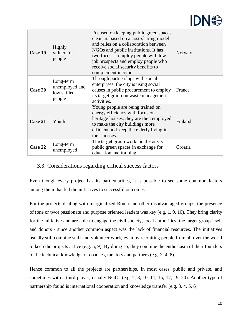

| Case 19 | Highly<br>vulnerable<br>people                       | Focused on keeping public green spaces<br>clean, is based on a cost-sharing model<br>and relies on a collaboration between<br>NGOs and public institutions. It has<br>two focuses: employ people with low<br>job prospects and employ people who<br>receive social security benefits to<br>complement income. | Norway  |
|---------|------------------------------------------------------|---------------------------------------------------------------------------------------------------------------------------------------------------------------------------------------------------------------------------------------------------------------------------------------------------------------|---------|
| Case 20 | Long-term<br>unemployed and<br>low skilled<br>people | Through partnerships with social<br>enterprises, the city is using social<br>causes in public procurement to employ<br>its target group on waste management<br>activities.                                                                                                                                    | France  |
| Case 21 | Youth                                                | Young people are being trained on<br>energy efficiency with focus on<br>heritage houses; they are then employed<br>to make the city buildings more<br>efficient and keep the elderly living in<br>their houses.                                                                                               | Finland |
| Case 22 | Long-term<br>unemployed                              | The target group works in the city's<br>public green spaces in exchange for<br>education and training.                                                                                                                                                                                                        | Croatia |

#### <span id="page-10-0"></span>3.3. Considerations regarding critical success factors

Even though every project has its particularities, it is possible to see some common factors among them that led the initiatives to successful outcomes.

For the projects dealing with marginalized Roma and other disadvantaged groups, the presence of (one or two) passionate and purpose oriented leaders was key (e.g. 1, 9, 10). They bring clarity for the initiative and are able to engage the civil society, local authorities, the target group itself and donors - since another common aspect was the lack of financial resources. The initiatives usually still combine staff and volunteer work, even by recruiting people from all over the world to keep the projects active (e.g. 5, 9). By doing so, they combine the enthusiasm of their founders to the technical knowledge of coaches, mentors and partners (e.g. 2, 4, 8).

Hence common to all the projects are partnerships. In most cases, public and private, and sometimes with a third player, usually NGOs (e.g. 7, 8, 10, 11, 15, 17, 19, 20). Another type of partnership found is international cooperation and knowledge transfer (e.g. 3, 4, 5, 6).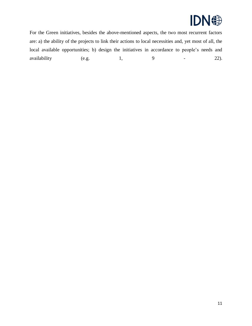

For the Green initiatives, besides the above-mentioned aspects, the two most recurrent factors are: a) the ability of the projects to link their actions to local necessities and, yet most of all, the local available opportunities; b) design the initiatives in accordance to people's needs and availability (e.g. 1, 9 - 22).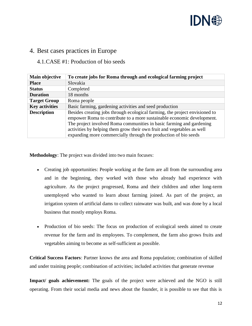

#### <span id="page-12-0"></span>4. Best cases practices in Europe

#### <span id="page-12-1"></span>4.1.CASE #1: Production of bio seeds

| Main objective        | To create jobs for Roma through and ecological farming project                                                                                                                                                                                                                                                                                                             |
|-----------------------|----------------------------------------------------------------------------------------------------------------------------------------------------------------------------------------------------------------------------------------------------------------------------------------------------------------------------------------------------------------------------|
| <b>Place</b>          | Slovakia                                                                                                                                                                                                                                                                                                                                                                   |
| <b>Status</b>         | Completed                                                                                                                                                                                                                                                                                                                                                                  |
| <b>Duration</b>       | 18 months                                                                                                                                                                                                                                                                                                                                                                  |
| <b>Target Group</b>   | Roma people                                                                                                                                                                                                                                                                                                                                                                |
| <b>Key activities</b> | Basic farming, gardening activities and seed production                                                                                                                                                                                                                                                                                                                    |
| <b>Description</b>    | Besides creating jobs through ecological farming, the project envisioned to<br>empower Roma to contribute to a more sustainable economic development.<br>The project involved Roma communities in basic farming and gardening<br>activities by helping them grow their own fruit and vegetables as well<br>expanding more commercially through the production of bio seeds |

**Methodology**: The project was divided into two main focuses:

- Creating job opportunities: People working at the farm are all from the surrounding area and in the beginning, they worked with those who already had experience with agriculture. As the project progressed, Roma and their children and other long-term unemployed who wanted to learn about farming joined. As part of the project, an irrigation system of artificial dams to collect rainwater was built, and was done by a local business that mostly employs Roma.
- Production of bio seeds: The focus on production of ecological seeds aimed to create revenue for the farm and its employees. To complement, the farm also grows fruits and vegetables aiming to become as self-sufficient as possible.

**Critical Success Factors**: Partner knows the area and Roma population; combination of skilled and under training people; combination of activities; included activities that generate revenue

**Impact/ goals achievement:** The goals of the project were achieved and the NGO is still operating. From their social media and news about the founder, it is possible to see that this is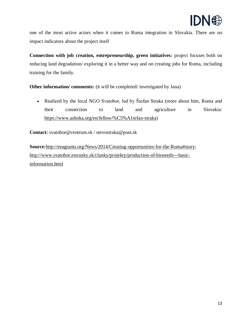

one of the most active actors when it comes to Roma integration in Slovakia. There are no impact indicators about the project itself

**Connection with job creation, entrepreneurship, green initiatives:** project focuses both on reducing land degradation/ exploring it in a better way and on creating jobs for Roma, including training for the family.

**Other information/ comments:** (it will be completed/ investigated by Jana)

• Realized by the local NGO Svatobor, led by Štefan Straka (more about him, Roma and their connection to land and agriculture in Slovakia: [https://www.ashoka.org/en/fellow/%C5%A1tefan-straka\)](https://www.ashoka.org/en/fellow/%C5%A1tefan-straka)

**Contact:** svatobor@centrum.sk / stevostraka@post.sk

<span id="page-13-0"></span>**Source:**[http://eeagrants.org/News/2014/Creating-opportunities-for-the-Roma#story;](http://eeagrants.org/News/2014/Creating-opportunities-for-the-Roma#story) [http://www.svatobor.estranky.sk/clanky/projekty/production-of-bioseeds---basic](http://www.svatobor.estranky.sk/clanky/projekty/production-of-bioseeds---basic-information.html)[information.html](http://www.svatobor.estranky.sk/clanky/projekty/production-of-bioseeds---basic-information.html)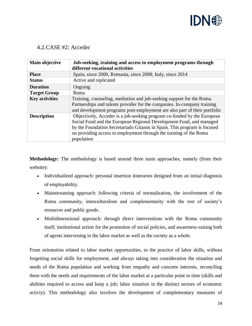

#### 4.2.CASE #2: Acceder

| Main objective        | Job-seeking, training and access to employment programs through<br>different vocational activities                                                                                                                                                                                                             |
|-----------------------|----------------------------------------------------------------------------------------------------------------------------------------------------------------------------------------------------------------------------------------------------------------------------------------------------------------|
| <b>Place</b>          | Spain, since 2000, Romania, since 2008; Italy, since 2014                                                                                                                                                                                                                                                      |
| <b>Status</b>         | Active and replicated                                                                                                                                                                                                                                                                                          |
| <b>Duration</b>       | Ongoing                                                                                                                                                                                                                                                                                                        |
| <b>Target Group</b>   | Roma                                                                                                                                                                                                                                                                                                           |
| <b>Key activities</b> | Training, counseling, mediation and job-seeking support for the Roma.<br>Partnerships and talents provider for the companies. In-company training<br>and development programs post-employment are also part of their portfolio                                                                                 |
| <b>Description</b>    | Objectively, Acceder is a job-seeking program co-funded by the European<br>Social Fund and the European Regional Development Fund, and managed<br>by the Foundation Secretariado Gitanos in Spain. This program is focused<br>on providing access to employment through the training of the Roma<br>population |

**Methodology:** The methodology is based around three main approaches, namely (from their website):

- Individualized approach: personal insertion itineraries designed from an initial diagnosis of employability.
- Mainstreaming approach: following criteria of normalization, the involvement of the Roma community, interculturalism and complementarity with the rest of society's resources and public goods.
- Multidimensional approach: through direct interventions with the Roma community itself, institutional action for the promotion of social policies, and awareness-raising both of agents intervening in the labor market as well as the society as a whole.

From orientation related to labor market opportunities, to the practice of labor skills, without forgetting social skills for employment, and always taking into consideration the situation and needs of the Roma population and working from empathy and concrete interests, reconciling them with the needs and requirements of the labor market at a particular point in time (skills and abilities required to access and keep a job; labor situation in the distinct sectors of economic activiy). This methodology also involves the development of complementary measures of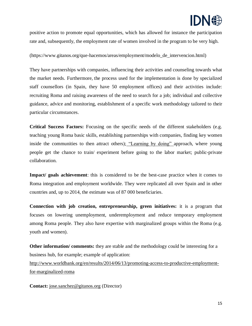

positive action to promote equal opportunities, which has allowed for instance the participation rate and, subsequently, the employment rate of women involved in the program to be very high.

(https://www.gitanos.org/que-hacemos/areas/employment/modelo\_de\_intervencion.html)

They have partnerships with companies, influencing their activities and counseling towards what the market needs. Furthermore, the process used for the implementation is done by specialized staff counsellors (in Spain, they have 50 employment offices) and their activities include: recruiting Roma and raising awareness of the need to search for a job; individual and collective guidance, advice and monitoring, establishment of a specific work methodology tailored to their particular circumstances.

**Critical Success Factors:** Focusing on the specific needs of the different stakeholders (e.g. teaching young Roma basic skills, establishing partnerships with companies, finding key women inside the communities to then attract others); ["Learning by doing" a](https://www.gitanos.org/que-hacemos/areas/employment/aprender_trabajando.html)pproach, where young people get the chance to train/ experiment before going to the labor market; public-private collaboration.

**Impact/ goals achievement**: this is considered to be the best-case practice when it comes to Roma integration and employment worldwide. They were replicated all over Spain and in other countries and, up to 2014, the estimate was of 87 000 beneficiaries.

**Connection with job creation, entrepreneurship, green initiatives:** it is a program that focuses on lowering unemployment, underemployment and reduce temporary employment among Roma people. They also have expertise with marginalized groups within the Roma (e.g. youth and women).

**Other information/ comments:** they are stable and the methodology could be interesting for a business hub, for example; example of application:

[http://www.worldbank.org/en/results/2014/06/13/promoting-access-to-productive-employment](http://www.worldbank.org/en/results/2014/06/13/promoting-access-to-productive-employment-for-marginalized-roma)[for-marginalized-roma](http://www.worldbank.org/en/results/2014/06/13/promoting-access-to-productive-employment-for-marginalized-roma)

**Contact:** [jose.sanchez@gitanos.org](mailto:jose.sanchez@gitanos.org) (Director)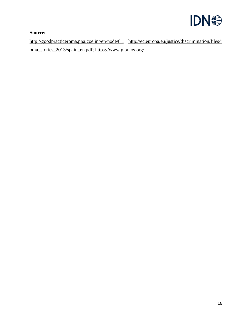

#### **Source:**

<span id="page-16-0"></span>[http://goodpracticeroma.ppa.coe.int/en/node/81;](http://goodpracticeroma.ppa.coe.int/en/node/81) [http://ec.europa.eu/justice/discrimination/files/r](http://ec.europa.eu/justice/discrimination/files/roma_stories_2013/spain_en.pdf) [oma\\_stories\\_2013/spain\\_en.pdf;](http://ec.europa.eu/justice/discrimination/files/roma_stories_2013/spain_en.pdf)<https://www.gitanos.org/>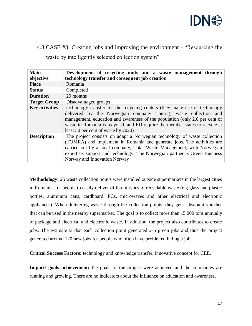

# 4.3.CASE #3: Creating jobs and improving the environment - "Resourcing the waste by intelligently selected collection system"

| <b>Main</b><br>objective | Development of recycling units and a waste management through<br>technology transfer and consequent job creation                                                                                                                                                                                                                                    |
|--------------------------|-----------------------------------------------------------------------------------------------------------------------------------------------------------------------------------------------------------------------------------------------------------------------------------------------------------------------------------------------------|
| <b>Place</b>             | Romania                                                                                                                                                                                                                                                                                                                                             |
| <b>Status</b>            | Completed                                                                                                                                                                                                                                                                                                                                           |
| <b>Duration</b>          | 20 months                                                                                                                                                                                                                                                                                                                                           |
| <b>Target Group</b>      | Disadvantaged groups                                                                                                                                                                                                                                                                                                                                |
| <b>Key activities</b>    | technology transfer for the recycling centers (they make use of technology<br>delivered by the Norwegian company Tomra), waste collection and<br>management, education and awareness of the population (only 2.6 per cent of<br>waste in Romania is recycled, and EU require the member states to recycle at<br>least 50 per cent of waste by 2020) |
| <b>Description</b>       | The project consists on adapt a Norwegian technology of waste collection<br>(TOMRA) and implement in Romania and generate jobs. The activities are<br>carried out by a local company, Total Waste Management, with Norwegian<br>expertise, support and technology. The Norwegian partner is Green Business<br>Norway and Innovation Norway          |

**Methodology:** 25 waste collection points were installed outside supermarkets in the largest cities in Romania, for people to easily deliver different types of recyclable waste (e.g glass and plastic bottles, aluminum cans, cardboard, PCs, microwaves and other electrical and electronic appliances). When delivering waste through the collection points, they get a discount voucher that can be used in the nearby supermarket. The goal is to collect more than 15 000 tons annually of package and electrical and electronic waste. In addition, the project also contributes to create jobs. The estimate is that each collection point generated 2-5 green jobs and thus the project generated around 120 new jobs for people who often have problems finding a job.

**Critical Success Factors:** technology and knowledge transfer, innovative concept for CEE.

**Impact/ goals achievement:** the goals of the project were achieved and the companies are running and growing. There are no indicators about the influence on education and awareness.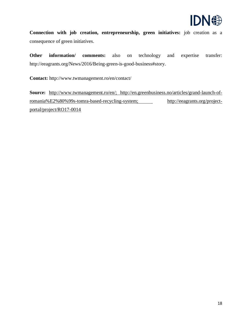

**Connection with job creation, entrepreneurship, green initiatives:** job creation as a consequence of green initiatives.

**Other information/ comments:** also on technology and expertise transfer: http://eeagrants.org/News/2016/Being-green-is-good-business#story.

**Contact:** http://www.twmanagement.ro/en/contact/

**Source:** [http://www.twmanagement.ro/en/;](http://www.twmanagement.ro/en/) [http://en.greenbusiness.no/articles/grand-launch-of](http://en.greenbusiness.no/articles/grand-launch-of-romania%E2%80%99s-tomra-based-recycling-system)[romania%E2%80%99s-tomra-based-recycling-system;](http://en.greenbusiness.no/articles/grand-launch-of-romania%E2%80%99s-tomra-based-recycling-system) [http://eeagrants.org/project](http://eeagrants.org/project-portal/project/RO17-0014)[portal/project/RO17-0014](http://eeagrants.org/project-portal/project/RO17-0014)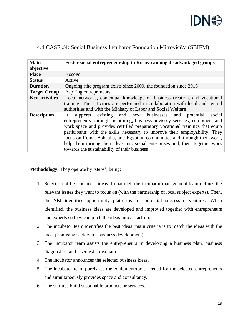

| <b>Main</b><br>objective | Foster social entrepreneurship in Kosovo among disadvantaged groups                                                                                                                                                                                                                                                                                                                                                                                                                                                                 |
|--------------------------|-------------------------------------------------------------------------------------------------------------------------------------------------------------------------------------------------------------------------------------------------------------------------------------------------------------------------------------------------------------------------------------------------------------------------------------------------------------------------------------------------------------------------------------|
| <b>Place</b>             | Kosovo                                                                                                                                                                                                                                                                                                                                                                                                                                                                                                                              |
| <b>Status</b>            | Active                                                                                                                                                                                                                                                                                                                                                                                                                                                                                                                              |
| <b>Duration</b>          | Ongoing (the program exists since 2009, the foundation since 2016)                                                                                                                                                                                                                                                                                                                                                                                                                                                                  |
| <b>Target Group</b>      | Aspiring entrepreneurs                                                                                                                                                                                                                                                                                                                                                                                                                                                                                                              |
| <b>Key activities</b>    | Local networks, contextual knowledge on business creation, and vocational<br>training. The activities are performed in collaboration with local and central<br>authorities and with the Ministry of Labor and Social Welfare                                                                                                                                                                                                                                                                                                        |
| <b>Description</b>       | existing and new businesses and potential<br>social<br>It<br>supports<br>entrepreneurs through mentoring, business advisory services, equipment and<br>work space and provides certified preparatory vocational trainings that equip<br>participants with the skills necessary to improve their employability. They<br>focus on Roma, Ashkalia, and Egyptian communities and, through their work,<br>help them turning their ideas into social enterprises and, then, together work<br>towards the sustainability of their business |

#### <span id="page-19-0"></span>4.4.CASE #4: Social Business Incubator Foundation Mitrovicë/a (SBIFM)

**Methodology**: They operate by 'steps', being:

- 1. Selection of best business ideas. In parallel, the incubator management team defines the relevant issues they want to focus on (with the partnership of local subject experts). Then, the SBI identifies opportunity platforms for potential successful ventures. When identified, the business ideas are developed and improved together with entrepreneurs and experts so they can pitch the ideas into a start-up.
- 2. The incubator team identifies the best ideas (main criteria is to match the ideas with the most promising sectors for business development).
- 3. The incubator team assists the entrepreneurs in developing a business plan, business diagnostics, and a semester evaluation.
- 4. The incubator announces the selected business ideas.
- 5. The incubator team purchases the equipment/tools needed for the selected entrepreneurs and simultaneously provides space and consultancy.
- 6. The startups build sustainable products or services.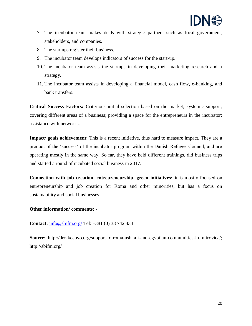

- 7. The incubator team makes deals with strategic partners such as local government, stakeholders, and companies.
- 8. The startups register their business.
- 9. The incubator team develops indicators of success for the start-up.
- 10. The incubator team assists the startups in developing their marketing research and a strategy.
- 11. The incubator team assists in developing a financial model, cash flow, e-banking, and bank transfers.

**Critical Success Factors:** Criterious initial selection based on the market; systemic support, covering different areas of a business; providing a space for the entrepreneurs in the incubator; assistance with networks.

**Impact/ goals achievement:** This is a recent initiative, thus hard to measure impact. They are a product of the 'success' of the incubator program within the Danish Refugee Council, and are operating mostly in the same way. So far, they have held different trainings, did business trips and started a round of incubated social business in 2017.

**Connection with job creation, entrepreneurship, green initiatives:** it is mostly focused on entrepreneurship and job creation for Roma and other minorities, but has a focus on sustainability and social businesses.

#### **Other information/ comments:** -

**Contact:** [info@sbifm.org/](mailto:info@sbifm.org/) Tel: +381 (0) 38 742 434

<span id="page-20-0"></span>**Source:** [http://drc-kosovo.org/support-to-roma-ashkali-and-egyptian-communities-in-mitrovica/;](http://drc-kosovo.org/support-to-roma-ashkali-and-egyptian-communities-in-mitrovica/) http://sbifm.org/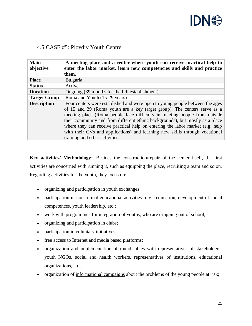

#### 4.5.CASE #5: Plovdiv Youth Centre

| <b>Main</b><br>objective | A meeting place and a center where youth can receive practical help to<br>enter the labor market, learn new competencies and skills and practice<br>them.                                                                                                                                                                                                                                                                                                                                                                |
|--------------------------|--------------------------------------------------------------------------------------------------------------------------------------------------------------------------------------------------------------------------------------------------------------------------------------------------------------------------------------------------------------------------------------------------------------------------------------------------------------------------------------------------------------------------|
| <b>Place</b>             | <b>Bulgaria</b>                                                                                                                                                                                                                                                                                                                                                                                                                                                                                                          |
| <b>Status</b>            | Active                                                                                                                                                                                                                                                                                                                                                                                                                                                                                                                   |
| <b>Duration</b>          | Ongoing (39 months for the full establishment)                                                                                                                                                                                                                                                                                                                                                                                                                                                                           |
| <b>Target Group</b>      | Roma and Youth (15-29 years)                                                                                                                                                                                                                                                                                                                                                                                                                                                                                             |
| <b>Description</b>       | Four centers were established and were open to young people between the ages<br>of 15 and 29 (Roma youth are a key target group). The centers serve as a<br>meeting place (Roma people face difficulty in meeting people from outside<br>their community and from different ethnic backgrounds), but mostly as a place<br>where they can receive practical help on entering the labor market (e.g. help<br>with their CVs and applications) and learning new skills through vocational<br>training and other activities. |

Key activities/ Methodology: Besides the [construction/repair](http://youthcentre.plovdiv.bg/en/detail/7/14#.WUuCf441-Uk) of the center itself, the first activities are concerned with running it, such as equipping the place, recruiting a team and so on. Regarding activities for the youth, they focus on:

- organizing and participation in youth exchanges
- participation in non-formal educational activities- civic education, development of social competences, youth leadership, etc.;
- work with programmes for integration of youths, who are dropping out of school;
- organizing and participation in clubs;
- participation in voluntary initiatives;
- free access to Internet and media based platforms;
- organization and implementation of [round tables](http://youthcentre.plovdiv.bg/en/detail/7/119#.WUuDr441-Uk) with representatives of stakeholdersyouth NGOs, social and health workers, representatives of institutions, educational organizations, etc.;
- organization of [informational campaigns](http://youthcentre.plovdiv.bg/en/detail/7/120#.WUuDwo41-Uk) about the problems of the young people at risk;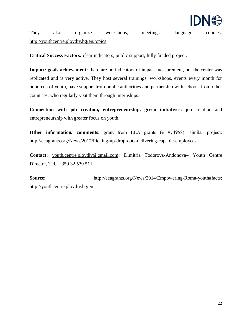

They also organize workshops, meetings, language courses: [http://youthcentre.plovdiv.bg/en/topics.](http://youthcentre.plovdiv.bg/en/topics)

**Critical Success Factors:** [clear indicators,](http://eeagrants.org/News/2014/Empowering-Roma-youth#facts) public support, fully funded project.

**Impact/ goals achievement:** there are no indicators of impact measurement, but the center was replicated and is very active. They host several trainings, workshops, events every month for hundreds of youth, have support from public authorities and partnership with schools from other countries, who regularly visit them through internships.

**Connection with job creation, entrepreneurship, green initiatives:** job creation and entrepreneurship with greater focus on youth.

**Other information/ comments:** grant from EEA grants  $(\epsilon \ 974958)$ ; similar project: <http://eeagrants.org/News/2017/Picking-up-drop-outs-delivering-capable-employees>

**Contact:** [youth.centre.plovdiv@gmail.com;](mailto:youth.centre.plovdiv@gmail.com) Dimitria Todorova-Andonova– Youth Centre Director, Tel.: +359 32 539 511

<span id="page-22-0"></span>**Source:** [http://eeagrants.org/News/2014/Empowering-Roma-youth#facts;](http://eeagrants.org/News/2014/Empowering-Roma-youth#facts) <http://youthcentre.plovdiv.bg/en>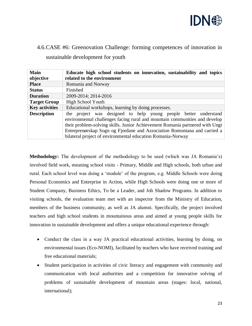

# 4.6.CASE #6: Greenovation Challenge: forming competences of innovation in sustainable development for youth

| <b>Main</b><br>objective | Educate high school students on innovation, sustainability and topics<br>related to the environment                                                                                                                                                                                                                                                                      |
|--------------------------|--------------------------------------------------------------------------------------------------------------------------------------------------------------------------------------------------------------------------------------------------------------------------------------------------------------------------------------------------------------------------|
| <b>Place</b>             | Romania and Norway                                                                                                                                                                                                                                                                                                                                                       |
| <b>Status</b>            | Finished                                                                                                                                                                                                                                                                                                                                                                 |
| <b>Duration</b>          | 2009-2014; 2014-2016                                                                                                                                                                                                                                                                                                                                                     |
| <b>Target Group</b>      | <b>High School Youth</b>                                                                                                                                                                                                                                                                                                                                                 |
| <b>Key activities</b>    | Educational workshops, learning by doing processes.                                                                                                                                                                                                                                                                                                                      |
| <b>Description</b>       | the project was designed to help young people better understand<br>environmental challenges facing rural and mountain communities and develop<br>their problem-solving skills. Junior Achievement Romania partnered with Ungt<br>Entreprenørskap Sogn og Fjordane and Association Romontana and carried a<br>bilateral project of environmental education Romania-Norway |

**Methodology:** The development of the methodology to be used (which was JA Romania's) involved field work, meaning school visits - Primary, Middle and High schools, both urban and rural. Each school level was doing a 'module' of the program, e.g. Middle Schools were doing Personal Economics and Enterprise in Action, while High Schools were doing one or more of Student Company, Business Ethics, To be a Leader, and Job Shadow Programs. In addition to visiting schools, the evaluation team met with an inspector from the Ministry of Education, members of the business community, as well as JA alumni. Specifically, the project involved teachers and high school students in mountainous areas and aimed at young people skills for innovation in sustainable development and offers a unique educational experience through:

- Conduct the class in a way JA practical educational activities, learning by doing, on environmental issues (Eco-NOMI), facilitated by teachers who have received training and free educational materials;
- Student participation in activities of civic literacy and engagement with community and communication with local authorities and a competition for innovative solving of problems of sustainable development of mountain areas (stages: local, national, international);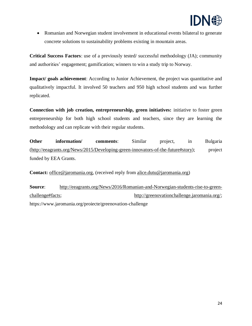

• Romanian and Norwegian student involvement in educational events bilateral to generate concrete solutions to sustainability problems existing in mountain areas.

**Critical Success Factors**: use of a previously tested/ successful methodology (JA); community and authorities' engagement; gamification; winners to win a study trip to Norway.

**Impact/ goals achievement**: According to Junior Achievement, the project was quantitative and qualitatively impactful. It involved 50 teachers and 950 high school students and was further replicated.

**Connection with job creation, entrepreneurship, green initiatives:** initiative to foster green entrepreneurship for both high school students and teachers, since they are learning the methodology and can replicate with their regular students.

**Other information/ comments:** Similar project, in Bulgaria [\(http://eeagrants.org/News/2015/Developing-green-innovators-of-the-future#story\)](http://eeagrants.org/News/2015/Developing-green-innovators-of-the-future#story); project funded by EEA Grants.

**Contact:** [office@jaromania.org,](mailto:office@jaromania.org) (received reply from alice.dutu@jaromania.org)

**Source**: [http://eeagrants.org/News/2016/Romanian-and-Norwegian-students-rise-to-green](http://eeagrants.org/News/2016/Romanian-and-Norwegian-students-rise-to-green-challenge#facts)[challenge#facts;](http://eeagrants.org/News/2016/Romanian-and-Norwegian-students-rise-to-green-challenge#facts) [http://greenovationchallenge.jaromania.org/;](http://greenovationchallenge.jaromania.org/) https://www.jaromania.org/proiecte/greenovation-challenge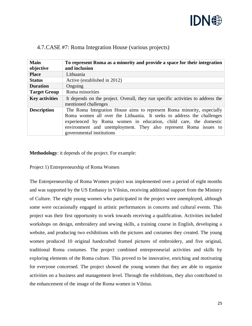

| <b>Main</b><br>objective | To represent Roma as a minority and provide a space for their integration<br>and inclusion                                                                                                                                                                                                                           |
|--------------------------|----------------------------------------------------------------------------------------------------------------------------------------------------------------------------------------------------------------------------------------------------------------------------------------------------------------------|
| <b>Place</b>             | Lithuania                                                                                                                                                                                                                                                                                                            |
| <b>Status</b>            | Active (established in 2012)                                                                                                                                                                                                                                                                                         |
| <b>Duration</b>          | Ongoing                                                                                                                                                                                                                                                                                                              |
| <b>Target Group</b>      | Roma minorities                                                                                                                                                                                                                                                                                                      |
| <b>Key activities</b>    | It depends on the project. Overall, they run specific activities to address the<br>mentioned challenges                                                                                                                                                                                                              |
| <b>Description</b>       | The Roma Integration House aims to represent Roma minority, especially<br>Roma women all over the Lithuania. It seeks to address the challenges<br>experienced by Roma women in education, child care, the domestic<br>environment and unemployment. They also represent Roma issues to<br>governmental institutions |

#### <span id="page-25-0"></span>4.7.CASE #7: Roma Integration House (various projects)

**Methodology**: it depends of the project. For example:

Project 1) Entrepreneurship of Roma Women

The Entrepreneurship of Roma Women project was implemented over a period of eight months and was supported by the US Embassy in Vilnius, receiving additional support from the Ministry of Culture. The eight young women who participated in the project were unemployed, although some were occasionally engaged in artistic performances in concerts and cultural events. This project was their first opportunity to work towards receiving a qualification. Activities included workshops on design, embroidery and sewing skills, a training course in English, developing a website, and producing two exhibitions with the pictures and costumes they created. The young women produced 10 original handcrafted framed pictures of embroidery, and five original, traditional Roma costumes. The project combined entrepreneurial activities and skills by exploring elements of the Roma culture. This proved to be innovative, enriching and motivating for everyone concerned. The project showed the young women that they are able to organize activities on a business and management level. Through the exhibitions, they also contributed to the enhancement of the image of the Roma women in Vilnius.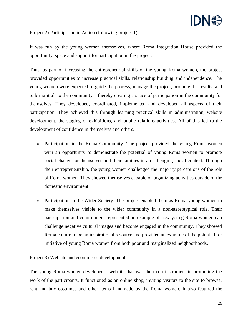

Project 2) Participation in Action (following project 1)

It was run by the young women themselves, where Roma Integration House provided the opportunity, space and support for participation in the project.

Thus, as part of increasing the entrepreneurial skills of the young Roma women, the project provided opportunities to increase practical skills, relationship building and independence. The young women were expected to guide the process, manage the project, promote the results, and to bring it all to the community – thereby creating a space of participation in the community for themselves. They developed, coordinated, implemented and developed all aspects of their participation. They achieved this through learning practical skills in administration, website development, the staging of exhibitions, and public relations activities. All of this led to the development of confidence in themselves and others.

- Participation in the Roma Community: The project provided the young Roma women with an opportunity to demonstrate the potential of young Roma women to promote social change for themselves and their families in a challenging social context. Through their entrepreneurship, the young women challenged the majority perceptions of the role of Roma women. They showed themselves capable of organizing activities outside of the domestic environment.
- Participation in the Wider Society: The project enabled them as Roma young women to make themselves visible to the wider community in a non-stereotypical role. Their participation and commitment represented an example of how young Roma women can challenge negative cultural images and become engaged in the community. They showed Roma culture to be an inspirational resource and provided an example of the potential for initiative of young Roma women from both poor and marginalized neighborhoods.

Project 3) Website and ecommerce development

The young Roma women developed a website that was the main instrument in promoting the work of the participants. It functioned as an online shop, inviting visitors to the site to browse, rent and buy costumes and other items handmade by the Roma women. It also featured the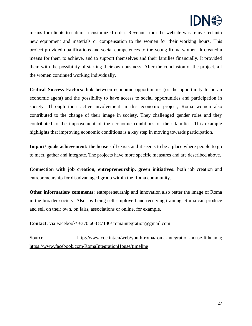

means for clients to submit a customized order. Revenue from the website was reinvested into new equipment and materials or compensation to the women for their working hours. This project provided qualifications and social competences to the young Roma women. It created a means for them to achieve, and to support themselves and their families financially. It provided them with the possibility of starting their own business. After the conclusion of the project, all the women continued working individually.

**Critical Success Factors:** link between economic opportunities (or the opportunity to be an economic agent) and the possibility to have access to social opportunities and participation in society. Through their active involvement in this economic project, Roma women also contributed to the change of their image in society. They challenged gender roles and they contributed to the improvement of the economic conditions of their families. This example highlights that improving economic conditions is a key step in moving towards participation.

**Impact/ goals achievement:** the house still exists and it seems to be a place where people to go to meet, gather and integrate. The projects have more specific measures and are described above.

**Connection with job creation, entrepreneurship, green initiatives:** both job creation and entrepreneurship for disadvantaged group within the Roma community.

**Other information/ comments:** entrepreneurship and innovation also better the image of Roma in the broader society. Also, by being self-employed and receiving training, Roma can produce and sell on their own, on fairs, associations or online, for example.

**Contact:** via Facebook/ +370 603 87130/ romaintegration@gmail.com

<span id="page-27-0"></span>Source: [http://www.coe.int/en/web/youth-roma/roma-integration-house-lithuania;](http://www.coe.int/en/web/youth-roma/roma-integration-house-lithuania) <https://www.facebook.com/RomaIntegrationHouse/timeline>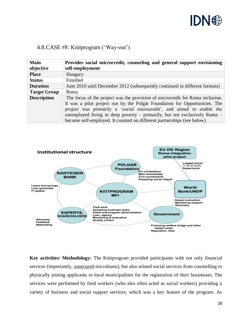

#### 4.8.CASE #8: Kiútprogram ('Way-out')

| <b>Main</b>         | Provides social microcredit, counseling and general support envisioning       |
|---------------------|-------------------------------------------------------------------------------|
| objective           | self-employment                                                               |
| <b>Place</b>        | Hungary                                                                       |
| <b>Status</b>       | Finished                                                                      |
| <b>Duration</b>     | June 2010 until December 2012 (subsequently continued in different formats)   |
| <b>Target Group</b> | Roma                                                                          |
| <b>Description</b>  | The focus of the project was the provision of microcredit for Roma inclusion. |
|                     | It was a pilot project run by the Polgár Foundation for Opportunities. The    |
|                     | project was primarily a 'social microcredit', and aimed to enable the         |
|                     | unemployed living in deep poverty $-$ primarily, but not exclusively Roma $-$ |
|                     | become self-employed. It counted on different partnerships (see below)        |



**Key activities/ Methodology:** The Kiútprogram provided participants with not only financial services (importantly, unsecured microloans), but also related social services from counselling to physically joining applicants to local municipalities for the registration of their businesses. The services were performed by field workers (who also often acted as social workers) providing a variety of business and social support services, which was a key feature of the program. As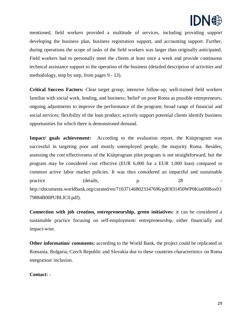

mentioned, field workers provided a multitude of services, including providing support developing the business plan, business registration support, and accounting support. Further, during operations the scope of tasks of the field workers was larger than originally anticipated. Field workers had to personally meet the clients at least once a week and provide continuous technical assistance support to the operation of the business (detailed description of activities and methodology, step by step, from pages 9 - 13).

**Critical Success Factors:** Clear target group; intensive follow-up; well-trained field workers familiar with social work, lending, and business; 'belief' on poor Roma as possible entrepreneurs; ongoing adjustments to improve the performance of the program; broad range of financial and social services; flexibility of the loan product; actively support potential clients identify business opportunities for which there is demonstrated demand.

**Impact/ goals achievement:** According to the evaluation report, the Kiútprogram was successful in targeting poor and mostly unemployed people, the majority Roma. Besides, assessing the cost effectiveness of the Kiútprogram pilot program is not straightforward, but the program may be considered cost effective (EUR 6,000 for a EUR 1,000 loan) compared to common active labor market policies. It was thus considered an impactful and sustainable practice (details, p. 28 [http://documents.worldbank.org/curated/en/710371468023347696/pdf/831450WP0Kiut00Box03](http://documents.worldbank.org/curated/en/710371468023347696/pdf/831450WP0Kiut00Box0379884B00PUBLIC0.pdf) [79884B00PUBLIC0.pdf\)](http://documents.worldbank.org/curated/en/710371468023347696/pdf/831450WP0Kiut00Box0379884B00PUBLIC0.pdf).

**Connection with job creation, entrepreneurship, green initiatives:** it can be considered a sustainable practice focusing on self-employment/ entrepreneurship, either financially and impact-wise.

**Other information/ comments:** according to the World Bank, the project could be replicated in Romania, Bulgaria, Czech Republic and Slovakia due to these countries characteristics on Roma integration/ inclusion.

**Contact:** -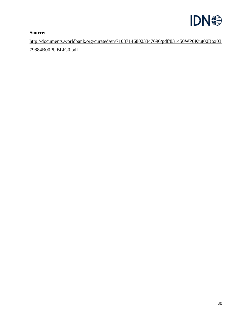

**Source:** 

<span id="page-30-0"></span>[http://documents.worldbank.org/curated/en/710371468023347696/pdf/831450WP0Kiut00Box03](http://documents.worldbank.org/curated/en/710371468023347696/pdf/831450WP0Kiut00Box0379884B00PUBLIC0.pdf) [79884B00PUBLIC0.pdf](http://documents.worldbank.org/curated/en/710371468023347696/pdf/831450WP0Kiut00Box0379884B00PUBLIC0.pdf)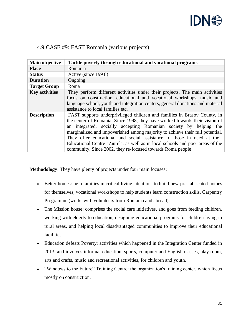

| Main objective        | Tackle poverty through educational and vocational programs                                                                                                                                                                                                                                                                                                                                                                                                                                                                              |
|-----------------------|-----------------------------------------------------------------------------------------------------------------------------------------------------------------------------------------------------------------------------------------------------------------------------------------------------------------------------------------------------------------------------------------------------------------------------------------------------------------------------------------------------------------------------------------|
| <b>Place</b>          | Romania                                                                                                                                                                                                                                                                                                                                                                                                                                                                                                                                 |
| <b>Status</b>         | Active (since 1998)                                                                                                                                                                                                                                                                                                                                                                                                                                                                                                                     |
| <b>Duration</b>       | Ongoing                                                                                                                                                                                                                                                                                                                                                                                                                                                                                                                                 |
| <b>Target Group</b>   | Roma                                                                                                                                                                                                                                                                                                                                                                                                                                                                                                                                    |
| <b>Key activities</b> | They perform different activities under their projects. The main activities<br>focus on construction, educational and vocational workshops, music and<br>language school, youth and integration centers, general donations and material<br>assistance to local families etc.                                                                                                                                                                                                                                                            |
| <b>Description</b>    | FAST supports underprivileged children and families in Brasov County, in<br>the center of Romania. Since 1998, they have worked towards their vision of<br>an integrated, socially accepting Romanian society by helping the<br>marginalized and impoverished among majority to achieve their full potential.<br>They offer educational and social assistance to those in need at their<br>Educational Centre "Ziurel", as well as in local schools and poor areas of the<br>community. Since 2002, they re-focused towards Roma people |

#### 4.9.CASE #9: FAST Romania (various projects)

**Methodology**: They have plenty of projects under four main focuses:

- Better homes: help families in critical living situations to build new pre-fabricated homes for themselves, vocational workshops to help students learn construction skills, Carpentry Programme (works with volunteers from Romania and abroad).
- The Mission house: comprises the social care initiatives, and goes from feeding children, working with elderly to education, designing educational programs for children living in rural areas, and helping local disadvantaged communities to improve their educational facilities.
- Education defeats Poverty: activities which happened in the Integration Center funded in 2013, and involves informal education, sports, computer and English classes, play room, arts and crafts, music and recreational activities, for children and youth.
- "Windows to the Future" Training Centre: the organization's training center, which focus mostly on construction.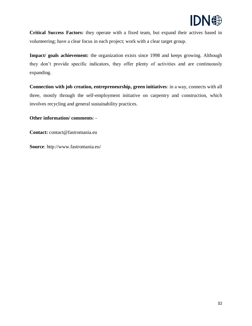

**Critical Success Factors:** they operate with a fixed team, but expand their actives based in volunteering; have a clear focus in each project; work with a clear target group.

**Impact/ goals achievement:** the organization exists since 1998 and keeps growing. Although they don't provide specific indicators, they offer plenty of activities and are continuously expanding.

**Connection with job creation, entrepreneurship, green initiatives**: in a way, connects with all three, mostly through the self-employment initiative on carpentry and construction, which involves recycling and general sustainability practices.

**Other information/ comments**: -

**Contact:** contact@fastromania.eu

<span id="page-32-0"></span>**Source**: http://www.fastromania.eu/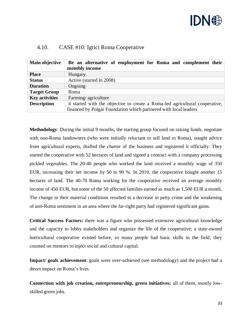

| Main objective        | Be an alternative of employment for Roma and complement their<br>monthly income |
|-----------------------|---------------------------------------------------------------------------------|
| <b>Place</b>          | Hungary                                                                         |
| <b>Status</b>         | Active (started in 2008)                                                        |
| <b>Duration</b>       | Ongoing                                                                         |
| <b>Target Group</b>   | Roma                                                                            |
| <b>Key activities</b> | Farming/agriculture                                                             |
| <b>Description</b>    | it started with the objective to create a Roma-led agricultural cooperative,    |
|                       | financed by Polgár Foundation which partnered with local leaders                |

#### 4.10. CASE #10: Igrici Roma Cooperative

**Methodology**: During the initial 9 months, the starting group focused on raising funds, negotiate with non-Roma landowners (who were initially reluctant to sell land to Roma), sought advice from agricultural experts, drafted the charter of the business and registered it officially. They started the cooperative with 52 hectares of land and signed a contract with a company processing pickled vegetables. The 20-40 people who worked the land received a monthly wage of 350 EUR, increasing their net income by 50 to 90 %. In 2010, the cooperative bought another 15 hectares of land. The 40-70 Roma working for the cooperative received an average monthly income of 450 EUR, but some of the 50 affected families earned as much as 1,500 EUR a month. The change in their material conditions resulted in a decrease in petty crime and the weakening of anti-Roma sentiment in an area where the far-right party had registered significant gains.

**Critical Success Factors:** there was a figure who possessed extensive agricultural knowledge and the capacity to lobby stakeholders and organize the life of the cooperative; a state-owned horticultural cooperative existed before, so many people had basic skills in the field; they counted on mentors to inject social and cultural capital.

**Impact/ goals achievement**: goals were over-achieved (see methodology) and the project had a direct impact on Roma's lives.

**Connection with job creation, entrepreneurship, green initiatives:** all of them, mostly lowskilled green jobs.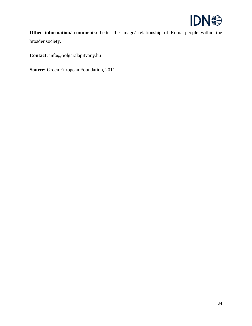

**Other information/ comments:** better the image/ relationship of Roma people within the broader society.

**Contact:** info@polgaralapitvany.hu

<span id="page-34-0"></span>**Source:** Green European Foundation, 2011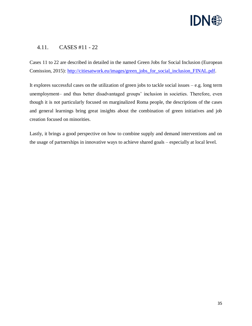

#### 4.11. CASES #11 - 22

Cases 11 to 22 are described in detailed in the named Green Jobs for Social Inclusion (European Comission, 2015): [http://citiesatwork.eu/images/green\\_jobs\\_for\\_social\\_inclusion\\_FINAL.pdf.](http://citiesatwork.eu/images/green_jobs_for_social_inclusion_FINAL.pdf)

It explores successful cases on the utilization of green jobs to tackle social issues  $-e.g.$  long term unemployment– and thus better disadvantaged groups' inclusion in societies. Therefore, even though it is not particularly focused on marginalized Roma people, the descriptions of the cases and general learnings bring great insights about the combination of green initiatives and job creation focused on minorities.

Lastly, it brings a good perspective on how to combine supply and demand interventions and on the usage of partnerships in innovative ways to achieve shared goals – especially at local level.